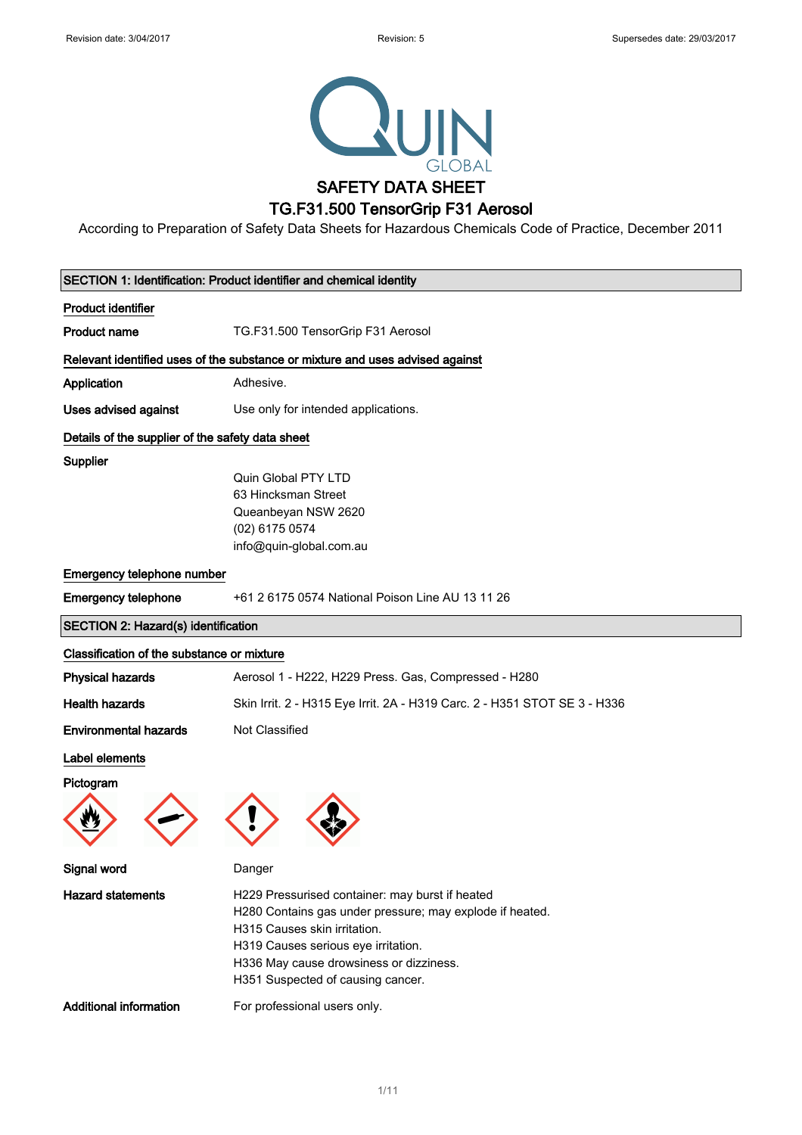

According to Preparation of Safety Data Sheets for Hazardous Chemicals Code of Practice, December 2011

|                                                  | SECTION 1: Identification: Product identifier and chemical identity                                                                                                                                                                                                |
|--------------------------------------------------|--------------------------------------------------------------------------------------------------------------------------------------------------------------------------------------------------------------------------------------------------------------------|
| <b>Product identifier</b>                        |                                                                                                                                                                                                                                                                    |
| <b>Product name</b>                              | TG.F31.500 TensorGrip F31 Aerosol                                                                                                                                                                                                                                  |
|                                                  | Relevant identified uses of the substance or mixture and uses advised against                                                                                                                                                                                      |
| Application                                      | Adhesive.                                                                                                                                                                                                                                                          |
| Uses advised against                             | Use only for intended applications.                                                                                                                                                                                                                                |
| Details of the supplier of the safety data sheet |                                                                                                                                                                                                                                                                    |
| Supplier                                         |                                                                                                                                                                                                                                                                    |
|                                                  | Quin Global PTY LTD                                                                                                                                                                                                                                                |
|                                                  | 63 Hincksman Street                                                                                                                                                                                                                                                |
|                                                  | Queanbeyan NSW 2620                                                                                                                                                                                                                                                |
|                                                  | (02) 6175 0574                                                                                                                                                                                                                                                     |
|                                                  | info@quin-global.com.au                                                                                                                                                                                                                                            |
| Emergency telephone number                       |                                                                                                                                                                                                                                                                    |
| <b>Emergency telephone</b>                       | +61 2 6175 0574 National Poison Line AU 13 11 26                                                                                                                                                                                                                   |
| <b>SECTION 2: Hazard(s) identification</b>       |                                                                                                                                                                                                                                                                    |
| Classification of the substance or mixture       |                                                                                                                                                                                                                                                                    |
| <b>Physical hazards</b>                          | Aerosol 1 - H222, H229 Press. Gas, Compressed - H280                                                                                                                                                                                                               |
| <b>Health hazards</b>                            | Skin Irrit. 2 - H315 Eye Irrit. 2A - H319 Carc. 2 - H351 STOT SE 3 - H336                                                                                                                                                                                          |
| <b>Environmental hazards</b>                     | Not Classified                                                                                                                                                                                                                                                     |
| Label elements                                   |                                                                                                                                                                                                                                                                    |
| Pictogram                                        |                                                                                                                                                                                                                                                                    |
|                                                  |                                                                                                                                                                                                                                                                    |
| <b>Signal word</b>                               | Danger                                                                                                                                                                                                                                                             |
| <b>Hazard statements</b>                         | H229 Pressurised container: may burst if heated<br>H280 Contains gas under pressure; may explode if heated.<br>H315 Causes skin irritation.<br>H319 Causes serious eye irritation.<br>H336 May cause drowsiness or dizziness.<br>H351 Suspected of causing cancer. |
| <b>Additional information</b>                    | For professional users only.                                                                                                                                                                                                                                       |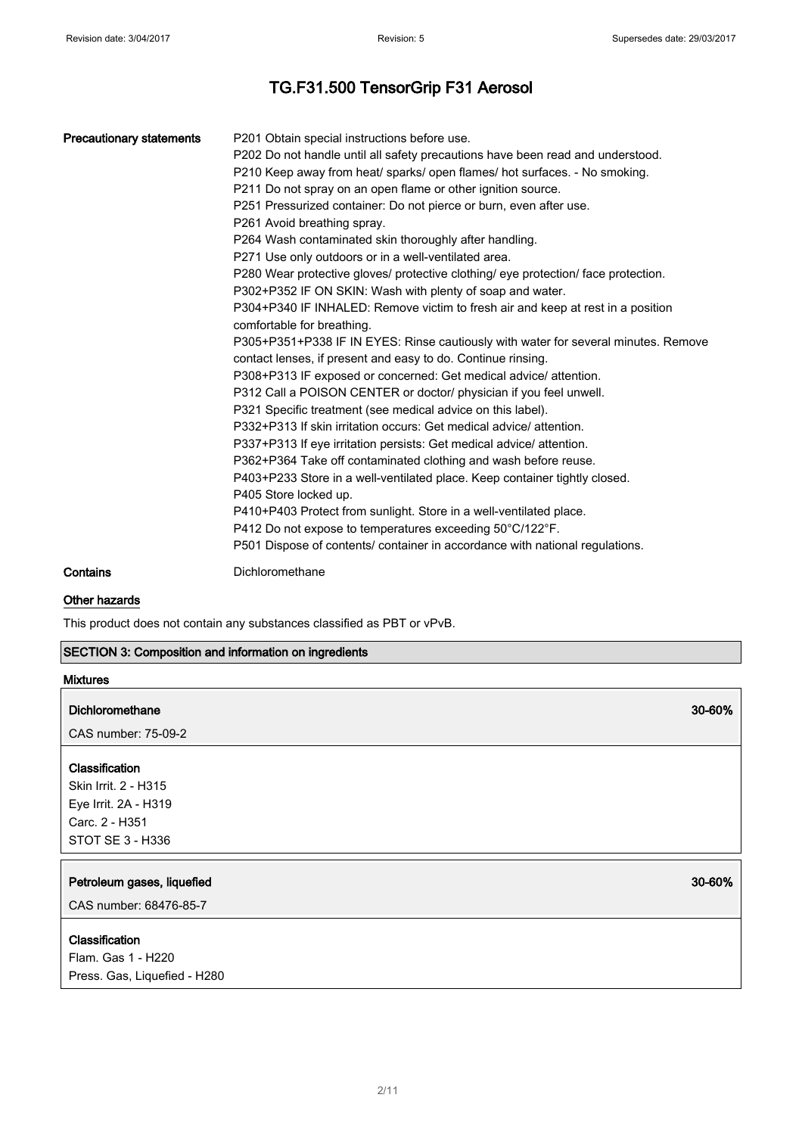| <b>Precautionary statements</b> | P201 Obtain special instructions before use.                                       |
|---------------------------------|------------------------------------------------------------------------------------|
|                                 | P202 Do not handle until all safety precautions have been read and understood.     |
|                                 | P210 Keep away from heat/ sparks/ open flames/ hot surfaces. - No smoking.         |
|                                 | P211 Do not spray on an open flame or other ignition source.                       |
|                                 | P251 Pressurized container: Do not pierce or burn, even after use.                 |
|                                 | P261 Avoid breathing spray.                                                        |
|                                 | P264 Wash contaminated skin thoroughly after handling.                             |
|                                 | P271 Use only outdoors or in a well-ventilated area.                               |
|                                 | P280 Wear protective gloves/ protective clothing/ eye protection/ face protection. |
|                                 | P302+P352 IF ON SKIN: Wash with plenty of soap and water.                          |
|                                 | P304+P340 IF INHALED: Remove victim to fresh air and keep at rest in a position    |
|                                 | comfortable for breathing.                                                         |
|                                 | P305+P351+P338 IF IN EYES: Rinse cautiously with water for several minutes. Remove |
|                                 | contact lenses, if present and easy to do. Continue rinsing.                       |
|                                 | P308+P313 IF exposed or concerned: Get medical advice/ attention.                  |
|                                 | P312 Call a POISON CENTER or doctor/ physician if you feel unwell.                 |
|                                 | P321 Specific treatment (see medical advice on this label).                        |
|                                 | P332+P313 If skin irritation occurs: Get medical advice/ attention.                |
|                                 | P337+P313 If eye irritation persists: Get medical advice/ attention.               |
|                                 | P362+P364 Take off contaminated clothing and wash before reuse.                    |
|                                 | P403+P233 Store in a well-ventilated place. Keep container tightly closed.         |
|                                 | P405 Store locked up.                                                              |
|                                 | P410+P403 Protect from sunlight. Store in a well-ventilated place.                 |
|                                 | P412 Do not expose to temperatures exceeding 50°C/122°F.                           |
|                                 | P501 Dispose of contents/ container in accordance with national regulations.       |
|                                 |                                                                                    |

Contains Dichloromethane

#### Other hazards

This product does not contain any substances classified as PBT or vPvB.

### SECTION 3: Composition and information on ingredients

| <b>Mixtures</b>                                                                                      |        |
|------------------------------------------------------------------------------------------------------|--------|
| <b>Dichloromethane</b>                                                                               | 30-60% |
| CAS number: 75-09-2                                                                                  |        |
| Classification<br>Skin Irrit. 2 - H315<br>Eye Irrit. 2A - H319<br>Carc. 2 - H351<br>STOT SE 3 - H336 |        |
| Petroleum gases, liquefied<br>CAS number: 68476-85-7                                                 | 30-60% |
| Classification<br>Flam. Gas 1 - H220<br>Press. Gas, Liquefied - H280                                 |        |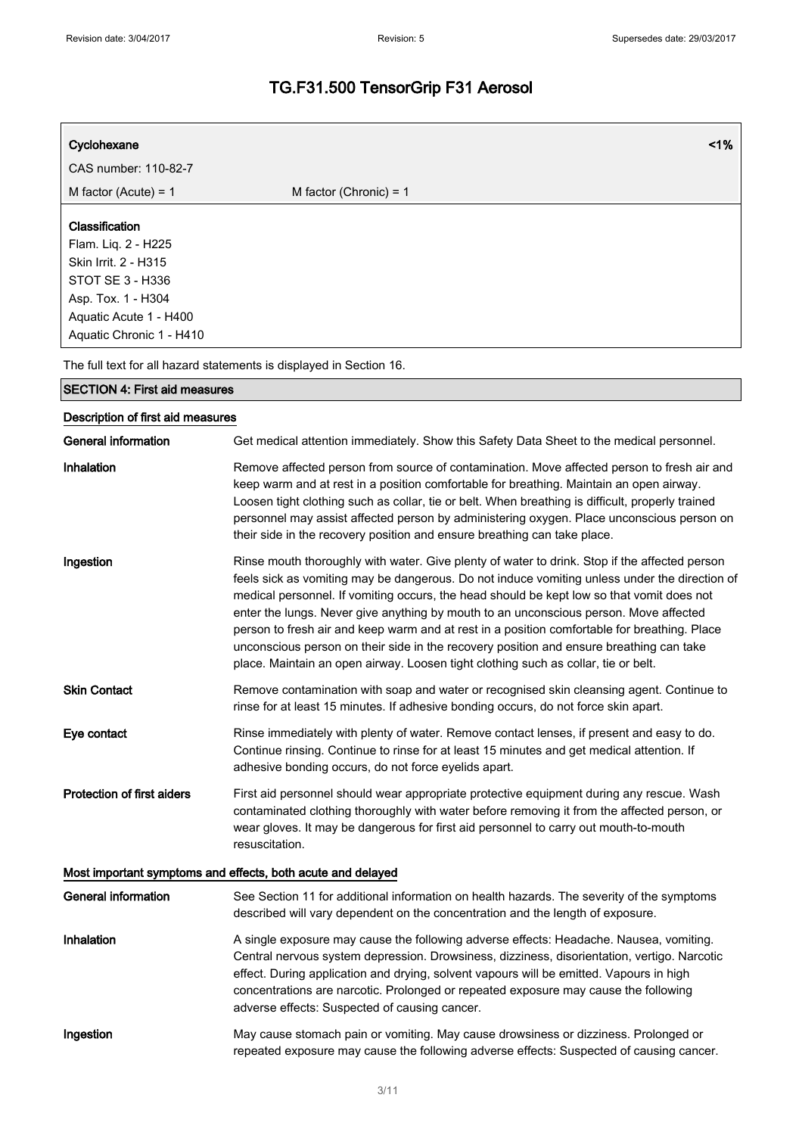| Cyclohexane                                                                                                                                                          | 1%                                                                                                                                                                                                                                                                                                                                                                                                                                                                                                                                                                                                                                                                    |
|----------------------------------------------------------------------------------------------------------------------------------------------------------------------|-----------------------------------------------------------------------------------------------------------------------------------------------------------------------------------------------------------------------------------------------------------------------------------------------------------------------------------------------------------------------------------------------------------------------------------------------------------------------------------------------------------------------------------------------------------------------------------------------------------------------------------------------------------------------|
| CAS number: 110-82-7                                                                                                                                                 |                                                                                                                                                                                                                                                                                                                                                                                                                                                                                                                                                                                                                                                                       |
| M factor (Acute) = $1$                                                                                                                                               | M factor (Chronic) = $1$                                                                                                                                                                                                                                                                                                                                                                                                                                                                                                                                                                                                                                              |
| Classification<br>Flam. Liq. 2 - H225<br>Skin Irrit. 2 - H315<br><b>STOT SE 3 - H336</b><br>Asp. Tox. 1 - H304<br>Aquatic Acute 1 - H400<br>Aquatic Chronic 1 - H410 |                                                                                                                                                                                                                                                                                                                                                                                                                                                                                                                                                                                                                                                                       |
|                                                                                                                                                                      | The full text for all hazard statements is displayed in Section 16.                                                                                                                                                                                                                                                                                                                                                                                                                                                                                                                                                                                                   |
| <b>SECTION 4: First aid measures</b>                                                                                                                                 |                                                                                                                                                                                                                                                                                                                                                                                                                                                                                                                                                                                                                                                                       |
| Description of first aid measures                                                                                                                                    |                                                                                                                                                                                                                                                                                                                                                                                                                                                                                                                                                                                                                                                                       |
| <b>General information</b>                                                                                                                                           | Get medical attention immediately. Show this Safety Data Sheet to the medical personnel.                                                                                                                                                                                                                                                                                                                                                                                                                                                                                                                                                                              |
| Inhalation                                                                                                                                                           | Remove affected person from source of contamination. Move affected person to fresh air and<br>keep warm and at rest in a position comfortable for breathing. Maintain an open airway.<br>Loosen tight clothing such as collar, tie or belt. When breathing is difficult, properly trained<br>personnel may assist affected person by administering oxygen. Place unconscious person on<br>their side in the recovery position and ensure breathing can take place.                                                                                                                                                                                                    |
| Ingestion                                                                                                                                                            | Rinse mouth thoroughly with water. Give plenty of water to drink. Stop if the affected person<br>feels sick as vomiting may be dangerous. Do not induce vomiting unless under the direction of<br>medical personnel. If vomiting occurs, the head should be kept low so that vomit does not<br>enter the lungs. Never give anything by mouth to an unconscious person. Move affected<br>person to fresh air and keep warm and at rest in a position comfortable for breathing. Place<br>unconscious person on their side in the recovery position and ensure breathing can take<br>place. Maintain an open airway. Loosen tight clothing such as collar, tie or belt. |
| <b>Skin Contact</b>                                                                                                                                                  | Remove contamination with soap and water or recognised skin cleansing agent. Continue to<br>rinse for at least 15 minutes. If adhesive bonding occurs, do not force skin apart.                                                                                                                                                                                                                                                                                                                                                                                                                                                                                       |
| Eye contact                                                                                                                                                          | Rinse immediately with plenty of water. Remove contact lenses, if present and easy to do.<br>Continue rinsing. Continue to rinse for at least 15 minutes and get medical attention. If<br>adhesive bonding occurs, do not force eyelids apart.                                                                                                                                                                                                                                                                                                                                                                                                                        |
| <b>Protection of first aiders</b>                                                                                                                                    | First aid personnel should wear appropriate protective equipment during any rescue. Wash<br>contaminated clothing thoroughly with water before removing it from the affected person, or<br>wear gloves. It may be dangerous for first aid personnel to carry out mouth-to-mouth<br>resuscitation.                                                                                                                                                                                                                                                                                                                                                                     |
|                                                                                                                                                                      | Most important symptoms and effects, both acute and delayed                                                                                                                                                                                                                                                                                                                                                                                                                                                                                                                                                                                                           |
| <b>General information</b>                                                                                                                                           | See Section 11 for additional information on health hazards. The severity of the symptoms<br>described will vary dependent on the concentration and the length of exposure.                                                                                                                                                                                                                                                                                                                                                                                                                                                                                           |
| Inhalation                                                                                                                                                           | A single exposure may cause the following adverse effects: Headache. Nausea, vomiting.<br>Central nervous system depression. Drowsiness, dizziness, disorientation, vertigo. Narcotic<br>effect. During application and drying, solvent vapours will be emitted. Vapours in high<br>concentrations are narcotic. Prolonged or repeated exposure may cause the following<br>adverse effects: Suspected of causing cancer.                                                                                                                                                                                                                                              |
| Ingestion                                                                                                                                                            | May cause stomach pain or vomiting. May cause drowsiness or dizziness. Prolonged or<br>repeated exposure may cause the following adverse effects: Suspected of causing cancer.                                                                                                                                                                                                                                                                                                                                                                                                                                                                                        |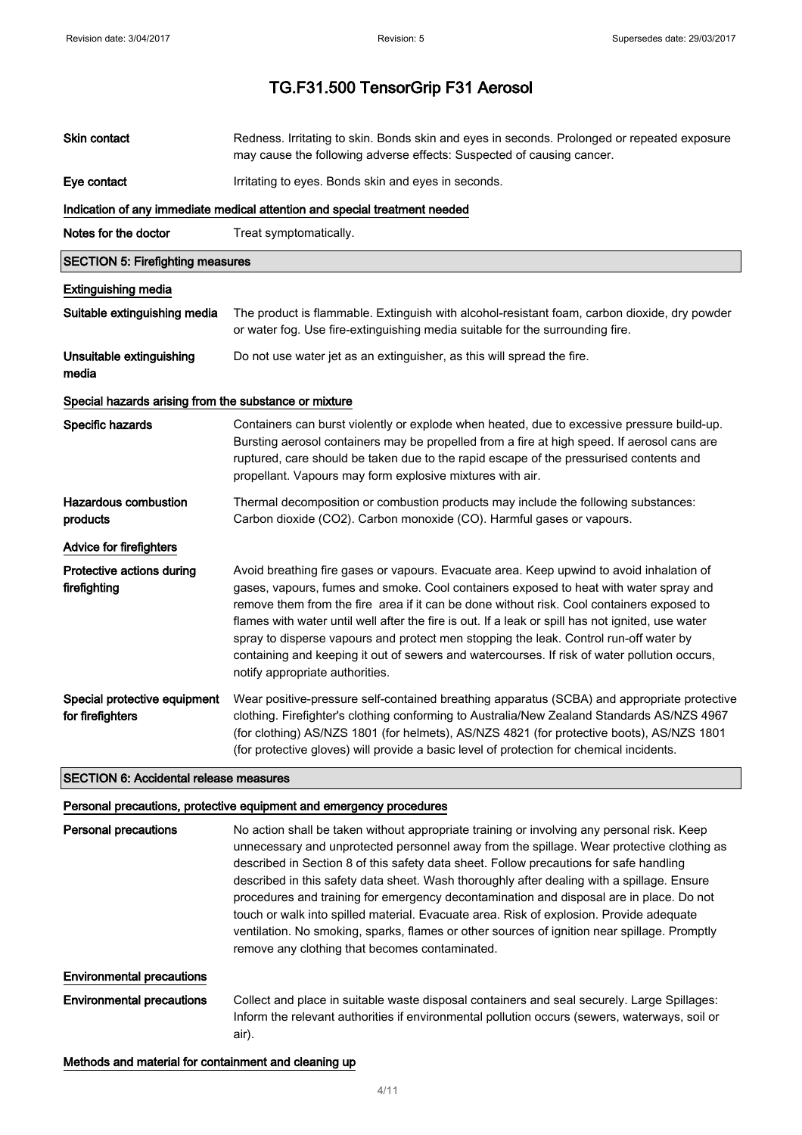| Skin contact                                          | Redness. Irritating to skin. Bonds skin and eyes in seconds. Prolonged or repeated exposure<br>may cause the following adverse effects: Suspected of causing cancer.                                                                                                                                                                                                                                                                                                                                                                                                                                                                                                                                                    |  |
|-------------------------------------------------------|-------------------------------------------------------------------------------------------------------------------------------------------------------------------------------------------------------------------------------------------------------------------------------------------------------------------------------------------------------------------------------------------------------------------------------------------------------------------------------------------------------------------------------------------------------------------------------------------------------------------------------------------------------------------------------------------------------------------------|--|
| Eye contact                                           | Irritating to eyes. Bonds skin and eyes in seconds.                                                                                                                                                                                                                                                                                                                                                                                                                                                                                                                                                                                                                                                                     |  |
|                                                       | Indication of any immediate medical attention and special treatment needed                                                                                                                                                                                                                                                                                                                                                                                                                                                                                                                                                                                                                                              |  |
| Notes for the doctor                                  | Treat symptomatically.                                                                                                                                                                                                                                                                                                                                                                                                                                                                                                                                                                                                                                                                                                  |  |
| <b>SECTION 5: Firefighting measures</b>               |                                                                                                                                                                                                                                                                                                                                                                                                                                                                                                                                                                                                                                                                                                                         |  |
| <b>Extinguishing media</b>                            |                                                                                                                                                                                                                                                                                                                                                                                                                                                                                                                                                                                                                                                                                                                         |  |
| Suitable extinguishing media                          | The product is flammable. Extinguish with alcohol-resistant foam, carbon dioxide, dry powder<br>or water fog. Use fire-extinguishing media suitable for the surrounding fire.                                                                                                                                                                                                                                                                                                                                                                                                                                                                                                                                           |  |
| Unsuitable extinguishing<br>media                     | Do not use water jet as an extinguisher, as this will spread the fire.                                                                                                                                                                                                                                                                                                                                                                                                                                                                                                                                                                                                                                                  |  |
| Special hazards arising from the substance or mixture |                                                                                                                                                                                                                                                                                                                                                                                                                                                                                                                                                                                                                                                                                                                         |  |
| Specific hazards                                      | Containers can burst violently or explode when heated, due to excessive pressure build-up.<br>Bursting aerosol containers may be propelled from a fire at high speed. If aerosol cans are<br>ruptured, care should be taken due to the rapid escape of the pressurised contents and<br>propellant. Vapours may form explosive mixtures with air.                                                                                                                                                                                                                                                                                                                                                                        |  |
| <b>Hazardous combustion</b><br>products               | Thermal decomposition or combustion products may include the following substances:<br>Carbon dioxide (CO2). Carbon monoxide (CO). Harmful gases or vapours.                                                                                                                                                                                                                                                                                                                                                                                                                                                                                                                                                             |  |
| Advice for firefighters                               |                                                                                                                                                                                                                                                                                                                                                                                                                                                                                                                                                                                                                                                                                                                         |  |
| Protective actions during<br>firefighting             | Avoid breathing fire gases or vapours. Evacuate area. Keep upwind to avoid inhalation of<br>gases, vapours, fumes and smoke. Cool containers exposed to heat with water spray and<br>remove them from the fire area if it can be done without risk. Cool containers exposed to<br>flames with water until well after the fire is out. If a leak or spill has not ignited, use water<br>spray to disperse vapours and protect men stopping the leak. Control run-off water by<br>containing and keeping it out of sewers and watercourses. If risk of water pollution occurs,<br>notify appropriate authorities.                                                                                                         |  |
| Special protective equipment<br>for firefighters      | Wear positive-pressure self-contained breathing apparatus (SCBA) and appropriate protective<br>clothing. Firefighter's clothing conforming to Australia/New Zealand Standards AS/NZS 4967<br>(for clothing) AS/NZS 1801 (for helmets), AS/NZS 4821 (for protective boots), AS/NZS 1801<br>(for protective gloves) will provide a basic level of protection for chemical incidents.                                                                                                                                                                                                                                                                                                                                      |  |
| <b>SECTION 6: Accidental release measures</b>         |                                                                                                                                                                                                                                                                                                                                                                                                                                                                                                                                                                                                                                                                                                                         |  |
|                                                       | Personal precautions, protective equipment and emergency procedures                                                                                                                                                                                                                                                                                                                                                                                                                                                                                                                                                                                                                                                     |  |
| <b>Personal precautions</b>                           | No action shall be taken without appropriate training or involving any personal risk. Keep<br>unnecessary and unprotected personnel away from the spillage. Wear protective clothing as<br>described in Section 8 of this safety data sheet. Follow precautions for safe handling<br>described in this safety data sheet. Wash thoroughly after dealing with a spillage. Ensure<br>procedures and training for emergency decontamination and disposal are in place. Do not<br>touch or walk into spilled material. Evacuate area. Risk of explosion. Provide adequate<br>ventilation. No smoking, sparks, flames or other sources of ignition near spillage. Promptly<br>remove any clothing that becomes contaminated. |  |
| <b>Environmental precautions</b>                      |                                                                                                                                                                                                                                                                                                                                                                                                                                                                                                                                                                                                                                                                                                                         |  |
| <b>Environmental precautions</b>                      | Collect and place in suitable waste disposal containers and seal securely. Large Spillages:<br>Inform the relevant authorities if environmental pollution occurs (sewers, waterways, soil or<br>air).                                                                                                                                                                                                                                                                                                                                                                                                                                                                                                                   |  |

### Methods and material for containment and cleaning up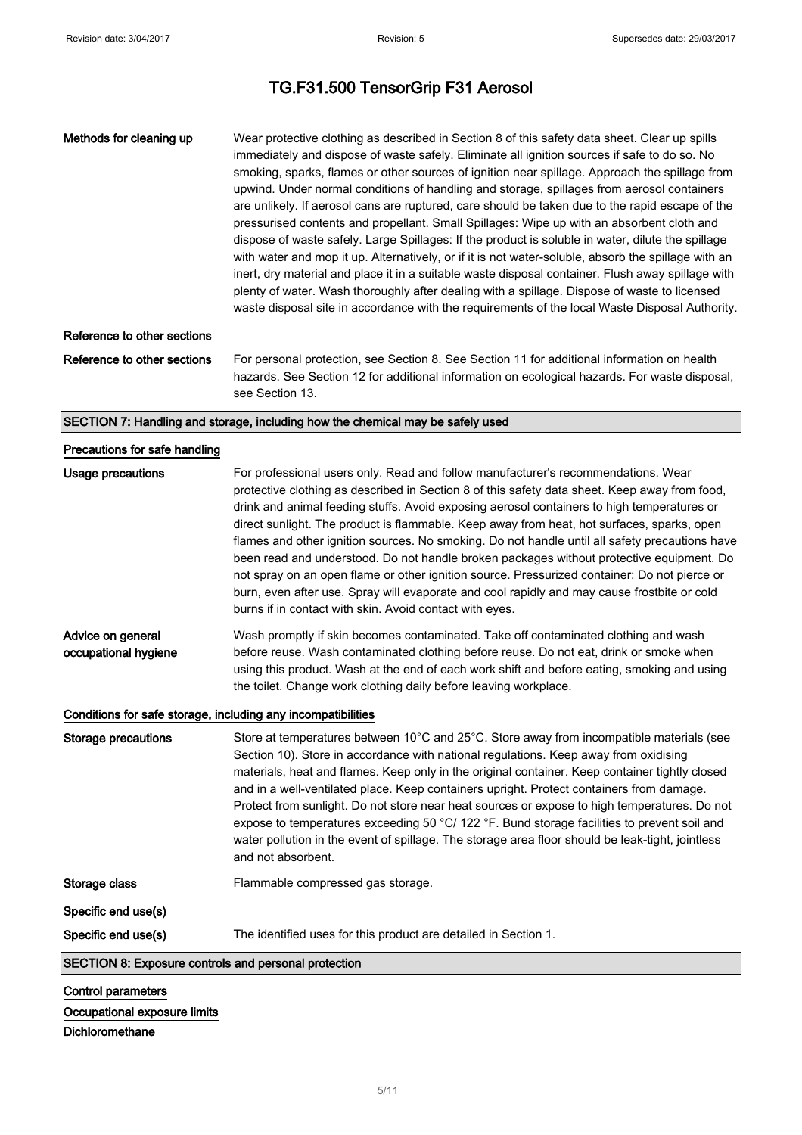| Methods for cleaning up                                      | Wear protective clothing as described in Section 8 of this safety data sheet. Clear up spills<br>immediately and dispose of waste safely. Eliminate all ignition sources if safe to do so. No<br>smoking, sparks, flames or other sources of ignition near spillage. Approach the spillage from<br>upwind. Under normal conditions of handling and storage, spillages from aerosol containers<br>are unlikely. If aerosol cans are ruptured, care should be taken due to the rapid escape of the<br>pressurised contents and propellant. Small Spillages: Wipe up with an absorbent cloth and<br>dispose of waste safely. Large Spillages: If the product is soluble in water, dilute the spillage<br>with water and mop it up. Alternatively, or if it is not water-soluble, absorb the spillage with an<br>inert, dry material and place it in a suitable waste disposal container. Flush away spillage with<br>plenty of water. Wash thoroughly after dealing with a spillage. Dispose of waste to licensed<br>waste disposal site in accordance with the requirements of the local Waste Disposal Authority. |
|--------------------------------------------------------------|------------------------------------------------------------------------------------------------------------------------------------------------------------------------------------------------------------------------------------------------------------------------------------------------------------------------------------------------------------------------------------------------------------------------------------------------------------------------------------------------------------------------------------------------------------------------------------------------------------------------------------------------------------------------------------------------------------------------------------------------------------------------------------------------------------------------------------------------------------------------------------------------------------------------------------------------------------------------------------------------------------------------------------------------------------------------------------------------------------------|
| Reference to other sections                                  |                                                                                                                                                                                                                                                                                                                                                                                                                                                                                                                                                                                                                                                                                                                                                                                                                                                                                                                                                                                                                                                                                                                  |
| Reference to other sections                                  | For personal protection, see Section 8. See Section 11 for additional information on health<br>hazards. See Section 12 for additional information on ecological hazards. For waste disposal,<br>see Section 13.                                                                                                                                                                                                                                                                                                                                                                                                                                                                                                                                                                                                                                                                                                                                                                                                                                                                                                  |
|                                                              | SECTION 7: Handling and storage, including how the chemical may be safely used                                                                                                                                                                                                                                                                                                                                                                                                                                                                                                                                                                                                                                                                                                                                                                                                                                                                                                                                                                                                                                   |
| Precautions for safe handling                                |                                                                                                                                                                                                                                                                                                                                                                                                                                                                                                                                                                                                                                                                                                                                                                                                                                                                                                                                                                                                                                                                                                                  |
| <b>Usage precautions</b>                                     | For professional users only. Read and follow manufacturer's recommendations. Wear<br>protective clothing as described in Section 8 of this safety data sheet. Keep away from food,<br>drink and animal feeding stuffs. Avoid exposing aerosol containers to high temperatures or<br>direct sunlight. The product is flammable. Keep away from heat, hot surfaces, sparks, open<br>flames and other ignition sources. No smoking. Do not handle until all safety precautions have<br>been read and understood. Do not handle broken packages without protective equipment. Do<br>not spray on an open flame or other ignition source. Pressurized container: Do not pierce or<br>burn, even after use. Spray will evaporate and cool rapidly and may cause frostbite or cold<br>burns if in contact with skin. Avoid contact with eyes.                                                                                                                                                                                                                                                                           |
| Advice on general<br>occupational hygiene                    | Wash promptly if skin becomes contaminated. Take off contaminated clothing and wash<br>before reuse. Wash contaminated clothing before reuse. Do not eat, drink or smoke when<br>using this product. Wash at the end of each work shift and before eating, smoking and using<br>the toilet. Change work clothing daily before leaving workplace.                                                                                                                                                                                                                                                                                                                                                                                                                                                                                                                                                                                                                                                                                                                                                                 |
| Conditions for safe storage, including any incompatibilities |                                                                                                                                                                                                                                                                                                                                                                                                                                                                                                                                                                                                                                                                                                                                                                                                                                                                                                                                                                                                                                                                                                                  |
| Storage precautions                                          | Store at temperatures between 10°C and 25°C. Store away from incompatible materials (see<br>Section 10). Store in accordance with national regulations. Keep away from oxidising<br>materials, heat and flames. Keep only in the original container. Keep container tightly closed<br>and in a well-ventilated place. Keep containers upright. Protect containers from damage.<br>Protect from sunlight. Do not store near heat sources or expose to high temperatures. Do not<br>expose to temperatures exceeding 50 °C/ 122 °F. Bund storage facilities to prevent soil and<br>water pollution in the event of spillage. The storage area floor should be leak-tight, jointless<br>and not absorbent.                                                                                                                                                                                                                                                                                                                                                                                                          |
| Storage class                                                | Flammable compressed gas storage.                                                                                                                                                                                                                                                                                                                                                                                                                                                                                                                                                                                                                                                                                                                                                                                                                                                                                                                                                                                                                                                                                |
| Specific end use(s)<br>Specific end use(s)                   | The identified uses for this product are detailed in Section 1.                                                                                                                                                                                                                                                                                                                                                                                                                                                                                                                                                                                                                                                                                                                                                                                                                                                                                                                                                                                                                                                  |
| SECTION 8: Exposure controls and personal protection         |                                                                                                                                                                                                                                                                                                                                                                                                                                                                                                                                                                                                                                                                                                                                                                                                                                                                                                                                                                                                                                                                                                                  |
| <b>Control parameters</b>                                    |                                                                                                                                                                                                                                                                                                                                                                                                                                                                                                                                                                                                                                                                                                                                                                                                                                                                                                                                                                                                                                                                                                                  |

## Occupational exposure limits

Dichloromethane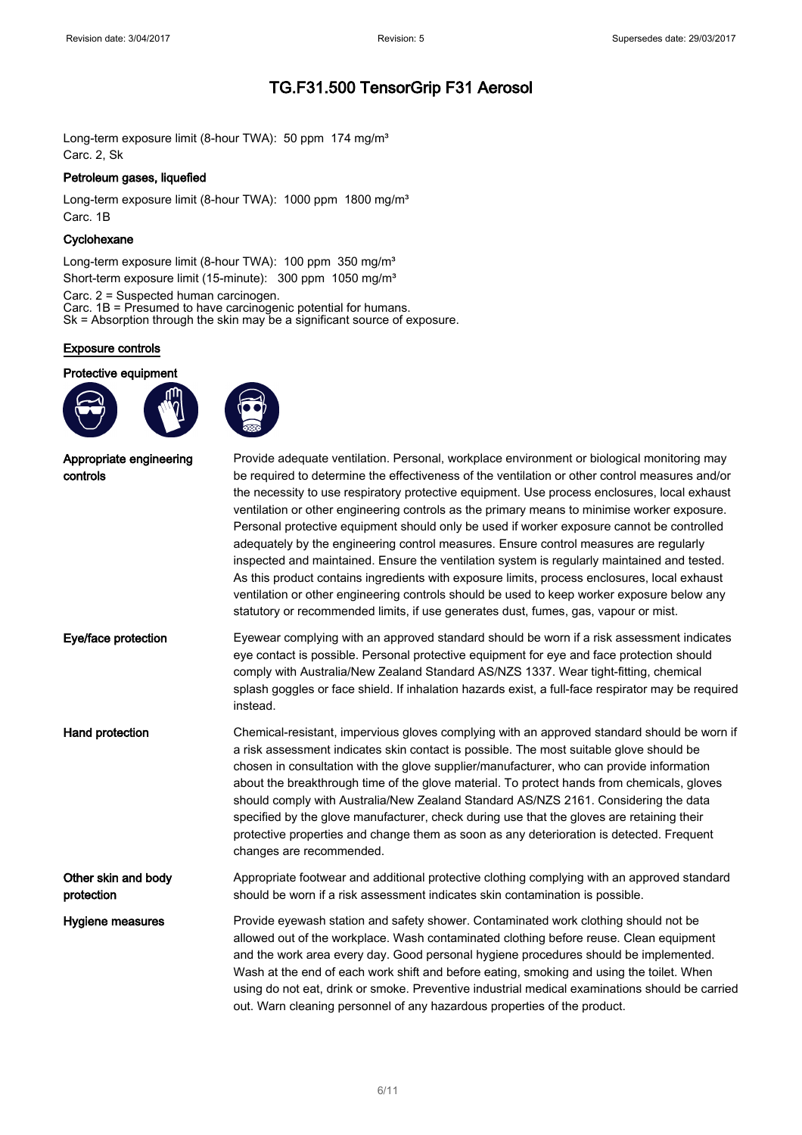Long-term exposure limit (8-hour TWA): 50 ppm 174 mg/m<sup>3</sup> Carc. 2, Sk

#### Petroleum gases, liquefied

Long-term exposure limit (8-hour TWA): 1000 ppm 1800 mg/m<sup>3</sup> Carc. 1B

#### **Cyclohexane**

Long-term exposure limit (8-hour TWA): 100 ppm 350 mg/m<sup>3</sup> Short-term exposure limit (15-minute): 300 ppm 1050 mg/m<sup>3</sup>

Carc. 2 = Suspected human carcinogen. Carc. 1B = Presumed to have carcinogenic potential for humans. Sk = Absorption through the skin may be a significant source of exposure.

#### Exposure controls

Protective equipment





| Appropriate engineering<br>controls | Provide adequate ventilation. Personal, workplace environment or biological monitoring may<br>be required to determine the effectiveness of the ventilation or other control measures and/or<br>the necessity to use respiratory protective equipment. Use process enclosures, local exhaust<br>ventilation or other engineering controls as the primary means to minimise worker exposure.<br>Personal protective equipment should only be used if worker exposure cannot be controlled<br>adequately by the engineering control measures. Ensure control measures are regularly<br>inspected and maintained. Ensure the ventilation system is regularly maintained and tested.<br>As this product contains ingredients with exposure limits, process enclosures, local exhaust<br>ventilation or other engineering controls should be used to keep worker exposure below any<br>statutory or recommended limits, if use generates dust, fumes, gas, vapour or mist. |
|-------------------------------------|-----------------------------------------------------------------------------------------------------------------------------------------------------------------------------------------------------------------------------------------------------------------------------------------------------------------------------------------------------------------------------------------------------------------------------------------------------------------------------------------------------------------------------------------------------------------------------------------------------------------------------------------------------------------------------------------------------------------------------------------------------------------------------------------------------------------------------------------------------------------------------------------------------------------------------------------------------------------------|
| Eye/face protection                 | Eyewear complying with an approved standard should be worn if a risk assessment indicates<br>eye contact is possible. Personal protective equipment for eye and face protection should<br>comply with Australia/New Zealand Standard AS/NZS 1337. Wear tight-fitting, chemical<br>splash goggles or face shield. If inhalation hazards exist, a full-face respirator may be required<br>instead.                                                                                                                                                                                                                                                                                                                                                                                                                                                                                                                                                                      |
| Hand protection                     | Chemical-resistant, impervious gloves complying with an approved standard should be worn if<br>a risk assessment indicates skin contact is possible. The most suitable glove should be<br>chosen in consultation with the glove supplier/manufacturer, who can provide information<br>about the breakthrough time of the glove material. To protect hands from chemicals, gloves<br>should comply with Australia/New Zealand Standard AS/NZS 2161. Considering the data<br>specified by the glove manufacturer, check during use that the gloves are retaining their<br>protective properties and change them as soon as any deterioration is detected. Frequent<br>changes are recommended.                                                                                                                                                                                                                                                                          |
| Other skin and body<br>protection   | Appropriate footwear and additional protective clothing complying with an approved standard<br>should be worn if a risk assessment indicates skin contamination is possible.                                                                                                                                                                                                                                                                                                                                                                                                                                                                                                                                                                                                                                                                                                                                                                                          |
| Hygiene measures                    | Provide eyewash station and safety shower. Contaminated work clothing should not be<br>allowed out of the workplace. Wash contaminated clothing before reuse. Clean equipment<br>and the work area every day. Good personal hygiene procedures should be implemented.<br>Wash at the end of each work shift and before eating, smoking and using the toilet. When<br>using do not eat, drink or smoke. Preventive industrial medical examinations should be carried<br>out. Warn cleaning personnel of any hazardous properties of the product.                                                                                                                                                                                                                                                                                                                                                                                                                       |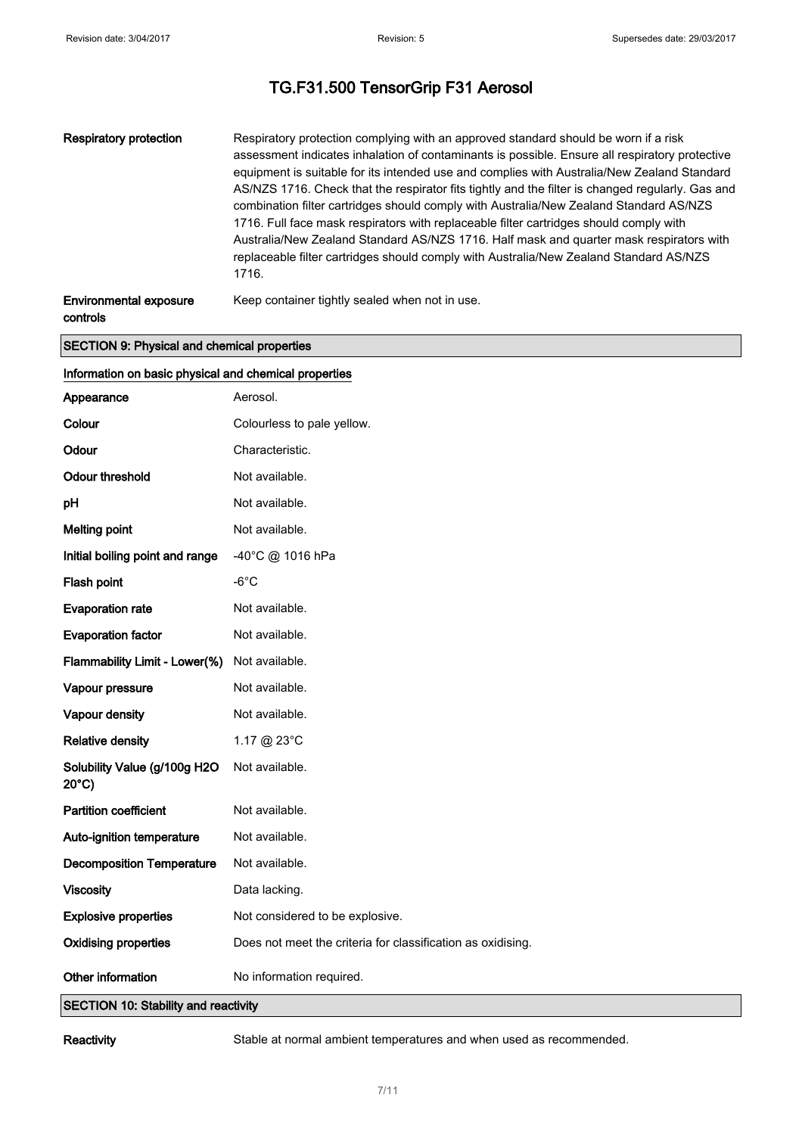| Respiratory protection        | Respiratory protection complying with an approved standard should be worn if a risk<br>assessment indicates inhalation of contaminants is possible. Ensure all respiratory protective<br>equipment is suitable for its intended use and complies with Australia/New Zealand Standard<br>AS/NZS 1716. Check that the respirator fits tightly and the filter is changed regularly. Gas and<br>combination filter cartridges should comply with Australia/New Zealand Standard AS/NZS<br>1716. Full face mask respirators with replaceable filter cartridges should comply with<br>Australia/New Zealand Standard AS/NZS 1716. Half mask and quarter mask respirators with<br>replaceable filter cartridges should comply with Australia/New Zealand Standard AS/NZS<br>1716. |
|-------------------------------|----------------------------------------------------------------------------------------------------------------------------------------------------------------------------------------------------------------------------------------------------------------------------------------------------------------------------------------------------------------------------------------------------------------------------------------------------------------------------------------------------------------------------------------------------------------------------------------------------------------------------------------------------------------------------------------------------------------------------------------------------------------------------|
| <b>Environmental exposure</b> | Keep container tightly sealed when not in use.                                                                                                                                                                                                                                                                                                                                                                                                                                                                                                                                                                                                                                                                                                                             |

controls

#### SECTION 9: Physical and chemical properties

| Information on basic physical and chemical properties            |                                                             |  |
|------------------------------------------------------------------|-------------------------------------------------------------|--|
| Appearance                                                       | Aerosol.                                                    |  |
| Colour                                                           | Colourless to pale yellow.                                  |  |
| Odour                                                            | Characteristic.                                             |  |
| <b>Odour threshold</b>                                           | Not available.                                              |  |
| pH                                                               | Not available.                                              |  |
| <b>Melting point</b>                                             | Not available.                                              |  |
| Initial boiling point and range                                  | -40°C @ 1016 hPa                                            |  |
| Flash point                                                      | $-6^{\circ}$ C                                              |  |
| <b>Evaporation rate</b>                                          | Not available.                                              |  |
| <b>Evaporation factor</b>                                        | Not available.                                              |  |
| Flammability Limit - Lower(%)                                    | Not available.                                              |  |
| Vapour pressure                                                  | Not available.                                              |  |
| Vapour density                                                   | Not available.                                              |  |
| <b>Relative density</b>                                          | 1.17 @ 23°C                                                 |  |
| Solubility Value (g/100g H2O<br>$20^{\circ}$ C)                  | Not available.                                              |  |
| <b>Partition coefficient</b>                                     | Not available.                                              |  |
| Auto-ignition temperature                                        | Not available.                                              |  |
| <b>Decomposition Temperature</b>                                 | Not available.                                              |  |
| <b>Viscosity</b>                                                 | Data lacking.                                               |  |
| <b>Explosive properties</b>                                      | Not considered to be explosive.                             |  |
| <b>Oxidising properties</b>                                      | Does not meet the criteria for classification as oxidising. |  |
| Other information<br><b>SECTION 10: Stability and reactivity</b> | No information required.                                    |  |

Reactivity Stable at normal ambient temperatures and when used as recommended.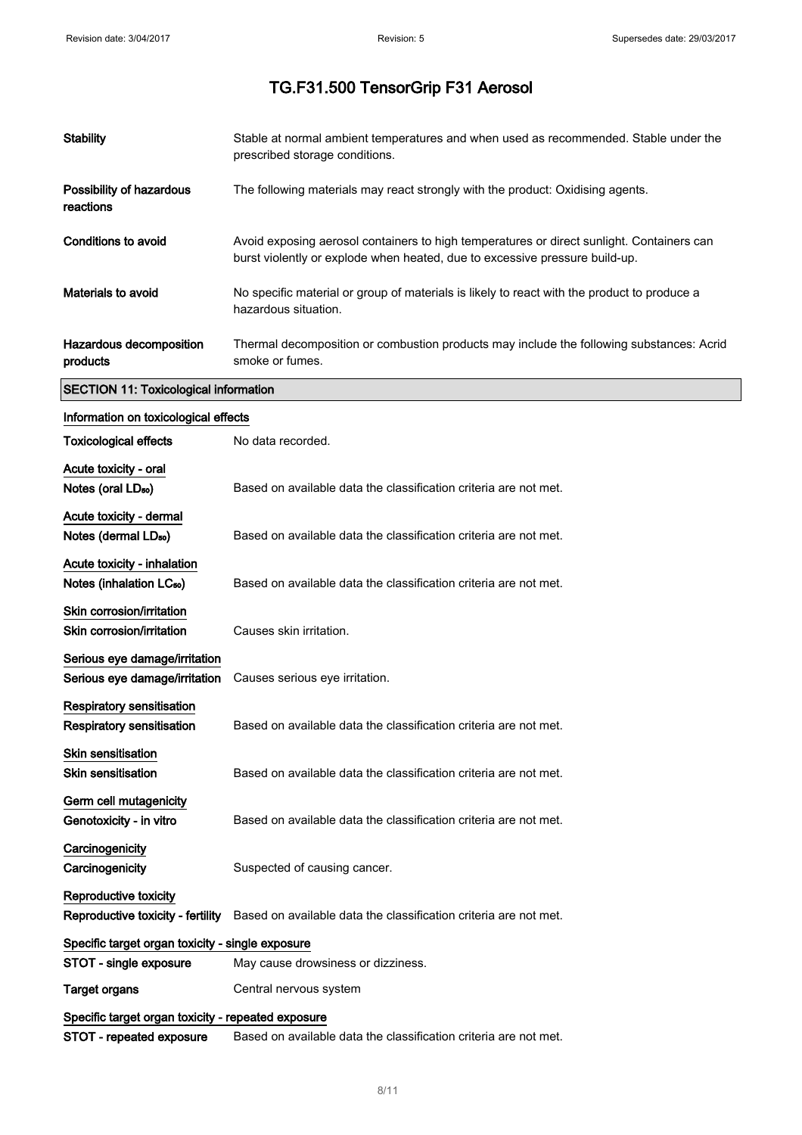| <b>Stability</b>                                                     | Stable at normal ambient temperatures and when used as recommended. Stable under the<br>prescribed storage conditions.                                                   |
|----------------------------------------------------------------------|--------------------------------------------------------------------------------------------------------------------------------------------------------------------------|
| Possibility of hazardous<br>reactions                                | The following materials may react strongly with the product: Oxidising agents.                                                                                           |
| <b>Conditions to avoid</b>                                           | Avoid exposing aerosol containers to high temperatures or direct sunlight. Containers can<br>burst violently or explode when heated, due to excessive pressure build-up. |
| Materials to avoid                                                   | No specific material or group of materials is likely to react with the product to produce a<br>hazardous situation.                                                      |
| Hazardous decomposition<br>products                                  | Thermal decomposition or combustion products may include the following substances: Acrid<br>smoke or fumes.                                                              |
| <b>SECTION 11: Toxicological information</b>                         |                                                                                                                                                                          |
| Information on toxicological effects                                 |                                                                                                                                                                          |
| <b>Toxicological effects</b>                                         | No data recorded.                                                                                                                                                        |
| Acute toxicity - oral<br>Notes (oral LD <sub>50</sub> )              | Based on available data the classification criteria are not met.                                                                                                         |
| Acute toxicity - dermal<br>Notes (dermal LD <sub>50</sub> )          | Based on available data the classification criteria are not met.                                                                                                         |
| Acute toxicity - inhalation<br>Notes (inhalation LC <sub>50</sub> )  | Based on available data the classification criteria are not met.                                                                                                         |
| Skin corrosion/irritation<br>Skin corrosion/irritation               | Causes skin irritation.                                                                                                                                                  |
| Serious eye damage/irritation<br>Serious eye damage/irritation       | Causes serious eye irritation.                                                                                                                                           |
| <b>Respiratory sensitisation</b><br><b>Respiratory sensitisation</b> | Based on available data the classification criteria are not met.                                                                                                         |
| Skin sensitisation<br>Skin sensitisation                             | Based on available data the classification criteria are not met.                                                                                                         |
| Germ cell mutagenicity<br>Genotoxicity - in vitro                    | Based on available data the classification criteria are not met.                                                                                                         |
| Carcinogenicity<br>Carcinogenicity                                   | Suspected of causing cancer.                                                                                                                                             |
| Reproductive toxicity<br>Reproductive toxicity - fertility           | Based on available data the classification criteria are not met.                                                                                                         |
| Specific target organ toxicity - single exposure                     |                                                                                                                                                                          |
| STOT - single exposure                                               | May cause drowsiness or dizziness.                                                                                                                                       |
| <b>Target organs</b>                                                 | Central nervous system                                                                                                                                                   |
| Specific target organ toxicity - repeated exposure                   |                                                                                                                                                                          |
| STOT - repeated exposure                                             | Based on available data the classification criteria are not met.                                                                                                         |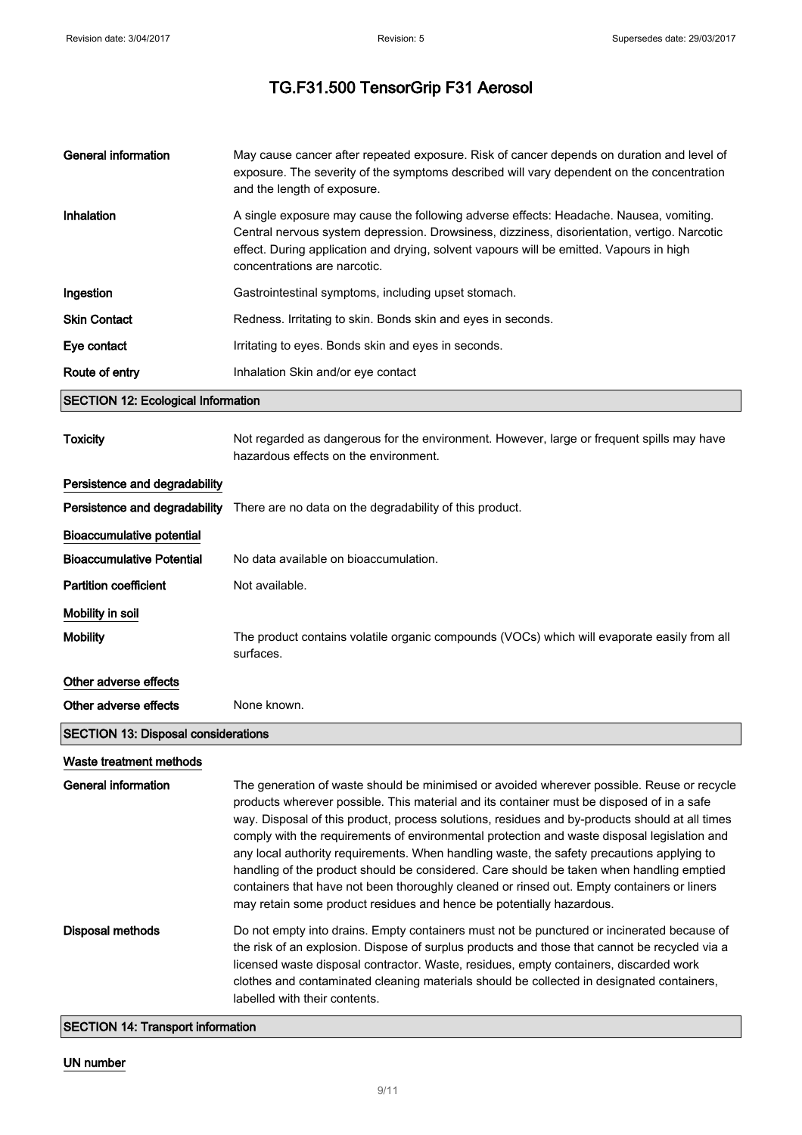| <b>General information</b>                 | May cause cancer after repeated exposure. Risk of cancer depends on duration and level of<br>exposure. The severity of the symptoms described will vary dependent on the concentration<br>and the length of exposure.                                                                                                                                                                                                                                                                                                                                                                                                                                                                                                                                   |
|--------------------------------------------|---------------------------------------------------------------------------------------------------------------------------------------------------------------------------------------------------------------------------------------------------------------------------------------------------------------------------------------------------------------------------------------------------------------------------------------------------------------------------------------------------------------------------------------------------------------------------------------------------------------------------------------------------------------------------------------------------------------------------------------------------------|
| Inhalation                                 | A single exposure may cause the following adverse effects: Headache. Nausea, vomiting.<br>Central nervous system depression. Drowsiness, dizziness, disorientation, vertigo. Narcotic<br>effect. During application and drying, solvent vapours will be emitted. Vapours in high<br>concentrations are narcotic.                                                                                                                                                                                                                                                                                                                                                                                                                                        |
| Ingestion                                  | Gastrointestinal symptoms, including upset stomach.                                                                                                                                                                                                                                                                                                                                                                                                                                                                                                                                                                                                                                                                                                     |
| <b>Skin Contact</b>                        | Redness. Irritating to skin. Bonds skin and eyes in seconds.                                                                                                                                                                                                                                                                                                                                                                                                                                                                                                                                                                                                                                                                                            |
| Eye contact                                | Irritating to eyes. Bonds skin and eyes in seconds.                                                                                                                                                                                                                                                                                                                                                                                                                                                                                                                                                                                                                                                                                                     |
| Route of entry                             | Inhalation Skin and/or eye contact                                                                                                                                                                                                                                                                                                                                                                                                                                                                                                                                                                                                                                                                                                                      |
| <b>SECTION 12: Ecological Information</b>  |                                                                                                                                                                                                                                                                                                                                                                                                                                                                                                                                                                                                                                                                                                                                                         |
| <b>Toxicity</b>                            | Not regarded as dangerous for the environment. However, large or frequent spills may have<br>hazardous effects on the environment.                                                                                                                                                                                                                                                                                                                                                                                                                                                                                                                                                                                                                      |
| Persistence and degradability              |                                                                                                                                                                                                                                                                                                                                                                                                                                                                                                                                                                                                                                                                                                                                                         |
|                                            | Persistence and degradability There are no data on the degradability of this product.                                                                                                                                                                                                                                                                                                                                                                                                                                                                                                                                                                                                                                                                   |
| <b>Bioaccumulative potential</b>           |                                                                                                                                                                                                                                                                                                                                                                                                                                                                                                                                                                                                                                                                                                                                                         |
| <b>Bioaccumulative Potential</b>           | No data available on bioaccumulation.                                                                                                                                                                                                                                                                                                                                                                                                                                                                                                                                                                                                                                                                                                                   |
| <b>Partition coefficient</b>               | Not available.                                                                                                                                                                                                                                                                                                                                                                                                                                                                                                                                                                                                                                                                                                                                          |
| Mobility in soil                           |                                                                                                                                                                                                                                                                                                                                                                                                                                                                                                                                                                                                                                                                                                                                                         |
| <b>Mobility</b>                            | The product contains volatile organic compounds (VOCs) which will evaporate easily from all<br>surfaces.                                                                                                                                                                                                                                                                                                                                                                                                                                                                                                                                                                                                                                                |
| Other adverse effects                      |                                                                                                                                                                                                                                                                                                                                                                                                                                                                                                                                                                                                                                                                                                                                                         |
| Other adverse effects                      | None known.                                                                                                                                                                                                                                                                                                                                                                                                                                                                                                                                                                                                                                                                                                                                             |
| <b>SECTION 13: Disposal considerations</b> |                                                                                                                                                                                                                                                                                                                                                                                                                                                                                                                                                                                                                                                                                                                                                         |
| Waste treatment methods                    |                                                                                                                                                                                                                                                                                                                                                                                                                                                                                                                                                                                                                                                                                                                                                         |
| <b>General information</b>                 | The generation of waste should be minimised or avoided wherever possible. Reuse or recycle<br>products wherever possible. This material and its container must be disposed of in a safe<br>way. Disposal of this product, process solutions, residues and by-products should at all times<br>comply with the requirements of environmental protection and waste disposal legislation and<br>any local authority requirements. When handling waste, the safety precautions applying to<br>handling of the product should be considered. Care should be taken when handling emptied<br>containers that have not been thoroughly cleaned or rinsed out. Empty containers or liners<br>may retain some product residues and hence be potentially hazardous. |
| <b>Disposal methods</b>                    | Do not empty into drains. Empty containers must not be punctured or incinerated because of<br>the risk of an explosion. Dispose of surplus products and those that cannot be recycled via a<br>licensed waste disposal contractor. Waste, residues, empty containers, discarded work<br>clothes and contaminated cleaning materials should be collected in designated containers,<br>labelled with their contents.                                                                                                                                                                                                                                                                                                                                      |

SECTION 14: Transport information

## UN number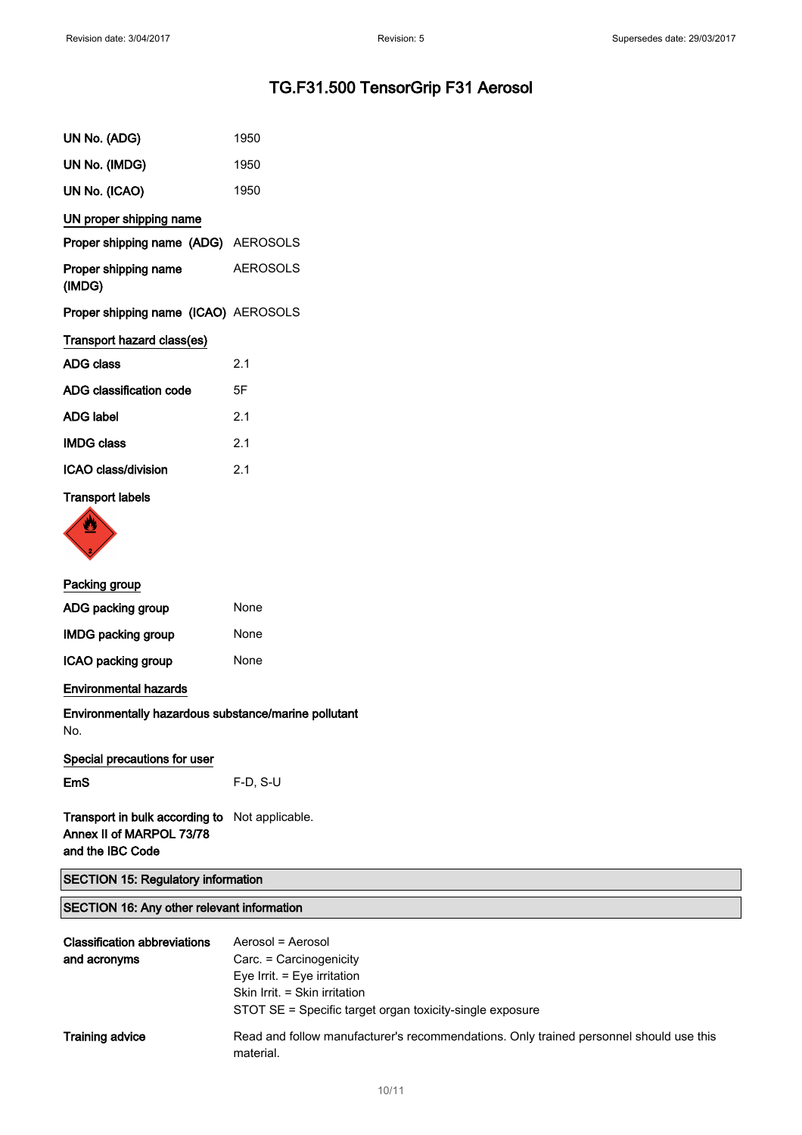| UN No. (ADG)                         | 1950            |
|--------------------------------------|-----------------|
| UN No. (IMDG)                        | 1950            |
| UN No. (ICAO)                        | 1950            |
| UN proper shipping name              |                 |
| Proper shipping name (ADG) AEROSOLS  |                 |
| Proper shipping name<br>(IMDG)       | <b>AEROSOLS</b> |
| Proper shipping name (ICAO) AEROSOLS |                 |
| Transport hazard class(es)           |                 |
| <b>ADG class</b>                     | 2.1             |
| ADG classification code              | 5F              |
| <b>ADG label</b>                     | 2.1             |
| <b>IMDG class</b>                    | 2.1             |
| ICAO class/division                  | 2.1             |
| <b>Transport labels</b>              |                 |



| Packing group             |      |
|---------------------------|------|
| ADG packing group         | None |
| <b>IMDG packing group</b> | None |
| ICAO packing group        | None |

#### Environmental hazards

Environmentally hazardous substance/marine pollutant No.

EmS F-D, S-U

Transport in bulk according to Not applicable. Annex II of MARPOL 73/78 and the IBC Code

|  |  |  |  | <b>SECTION 15: Regulatory information</b> |
|--|--|--|--|-------------------------------------------|
|--|--|--|--|-------------------------------------------|

### SECTION 16: Any other relevant information

| <b>Classification abbreviations</b><br>and acronyms | Aerosol = Aerosol<br>Carc. = Carcinogenicity<br>Eye Irrit. $=$ Eye irritation<br>Skin Irrit. = Skin irritation<br>STOT SE = Specific target organ toxicity-single exposure |
|-----------------------------------------------------|----------------------------------------------------------------------------------------------------------------------------------------------------------------------------|
| <b>Training advice</b>                              | Read and follow manufacturer's recommendations. Only trained personnel should use this<br>material.                                                                        |